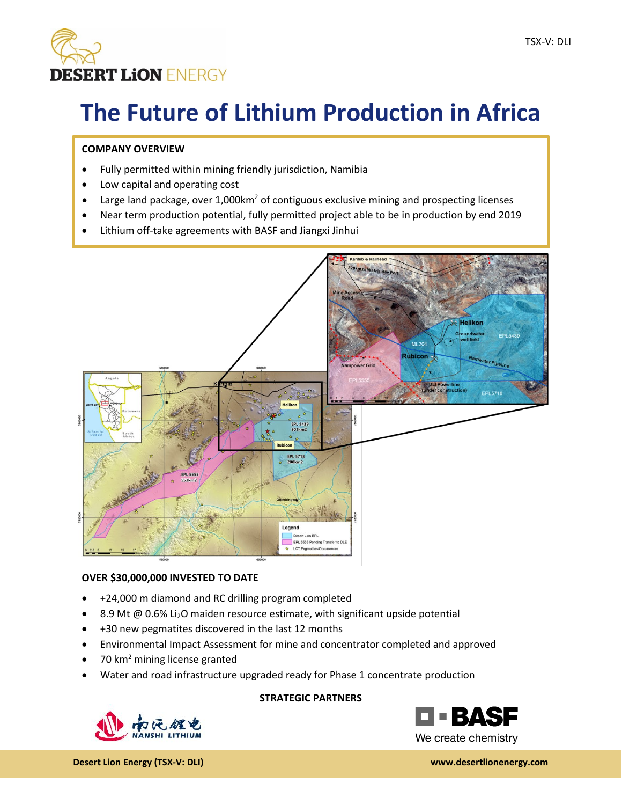

# **The Future of Lithium Production in Africa**

## **COMPANY OVERVIEW**

- Fully permitted within mining friendly jurisdiction, Namibia
- Low capital and operating cost
- Large land package, over  $1,000 \text{km}^2$  of contiguous exclusive mining and prospecting licenses
- Near term production potential, fully permitted project able to be in production by end 2019
- Lithium off-take agreements with BASF and Jiangxi Jinhui



## **OVER \$30,000,000 INVESTED TO DATE**

- +24,000 m diamond and RC drilling program completed
- 8.9 Mt @ 0.6% Li<sub>2</sub>O maiden resource estimate, with significant upside potential
- +30 new pegmatites discovered in the last 12 months
- Environmental Impact Assessment for mine and concentrator completed and approved
- 70 km<sup>2</sup> mining license granted
- Water and road infrastructure upgraded ready for Phase 1 concentrate production

# **STRATEGIC PARTNERS**远程电



We create chemistry

**Desert Lion Energy (TSX-V: DLI) www.desertlionenergy.com**